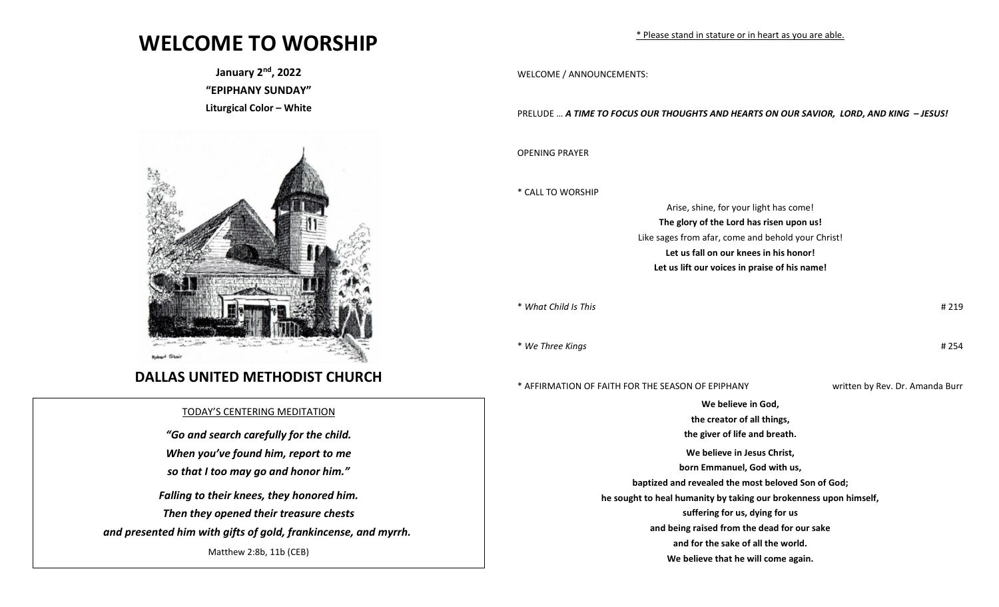## **WELCOME TO WORSHIP**

**January 2nd, 2022 "EPIPHANY SUNDAY" Liturgical Color – White** 



## **DALLAS UNITED METHODIST CHURCH**

## TODAY'S CENTERING MEDITATION

*"Go and search carefully for the child. When you've found him, report to me so that I too may go and honor him."*

*Falling to their knees, they honored him. Then they opened their treasure chests and presented him with gifts of gold, frankincense, and myrrh.*

Matthew 2:8b, 11b (CEB)

WELCOME / ANNOUNCEMENTS:

PRELUDE … *A TIME TO FOCUS OUR THOUGHTS AND HEARTS ON OUR SAVIOR, LORD, AND KING – JESUS!*

OPENING PRAYER

\* CALL TO WORSHIP

Arise, shine, for your light has come! **The glory of the Lord has risen upon us!** Like sages from afar, come and behold your Christ! **Let us fall on our knees in his honor! Let us lift our voices in praise of his name!**

\* *What Child Is This* # 219

\* *We Three Kings* # 254

\* AFFIRMATION OF FAITH FOR THE SEASON OF EPIPHANY written by Rev. Dr. Amanda Burr

**We believe in God, the creator of all things, the giver of life and breath. We believe in Jesus Christ, born Emmanuel, God with us, baptized and revealed the most beloved Son of God; he sought to heal humanity by taking our brokenness upon himself, suffering for us, dying for us and being raised from the dead for our sake and for the sake of all the world. We believe that he will come again.**